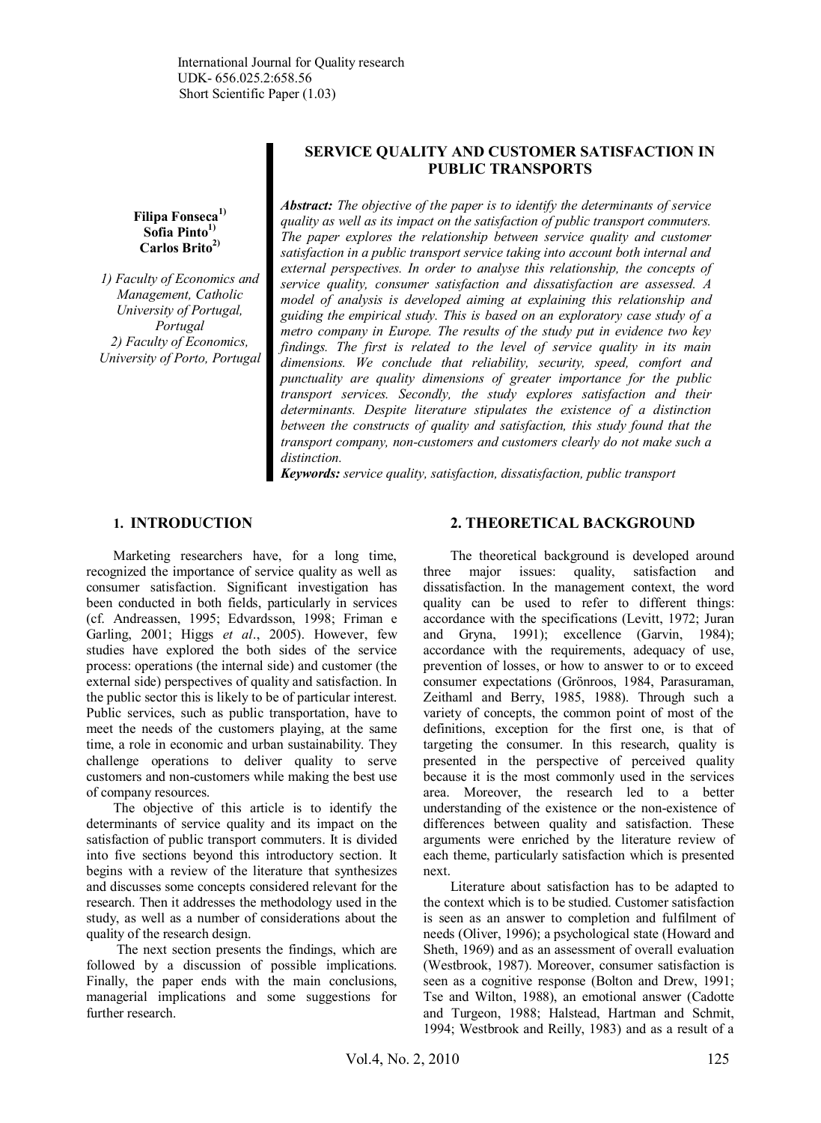**Filipa Fonseca1) Sofia Pinto1) Carlos Brito2)**

*1) Faculty of Economics and Management, Catholic University of Portugal, Portugal 2) Faculty of Economics, University of Porto, Portugal*

## **SERVICE QUALITY AND CUSTOMER SATISFACTION IN PUBLIC TRANSPORTS**

*Abstract: The objective of the paper is to identify the determinants of service quality as well as its impact on the satisfaction of public transport commuters. The paper explores the relationship between service quality and customer satisfaction in a public transport service taking into account both internal and external perspectives. In order to analyse this relationship, the concepts of service quality, consumer satisfaction and dissatisfaction are assessed. A model of analysis is developed aiming at explaining this relationship and guiding the empirical study. This is based on an exploratory case study of a metro company in Europe. The results of the study put in evidence two key findings. The first is related to the level of service quality in its main dimensions. We conclude that reliability, security, speed, comfort and punctuality are quality dimensions of greater importance for the public transport services. Secondly, the study explores satisfaction and their determinants. Despite literature stipulates the existence of a distinction between the constructs of quality and satisfaction, this study found that the transport company, non-customers and customers clearly do not make such a distinction.*

*Keywords: service quality, satisfaction, dissatisfaction, public transport*

# **1. INTRODUCTION**

Marketing researchers have, for a long time, recognized the importance of service quality as well as consumer satisfaction. Significant investigation has been conducted in both fields, particularly in services (cf. Andreassen, 1995; Edvardsson, 1998; Friman e Garling, 2001; Higgs *et al*., 2005). However, few studies have explored the both sides of the service process: operations (the internal side) and customer (the external side) perspectives of quality and satisfaction. In the public sector this is likely to be of particular interest. Public services, such as public transportation, have to meet the needs of the customers playing, at the same time, a role in economic and urban sustainability. They challenge operations to deliver quality to serve customers and non-customers while making the best use of company resources.

The objective of this article is to identify the determinants of service quality and its impact on the satisfaction of public transport commuters. It is divided into five sections beyond this introductory section. It begins with a review of the literature that synthesizes and discusses some concepts considered relevant for the research. Then it addresses the methodology used in the study, as well as a number of considerations about the quality of the research design.

 The next section presents the findings, which are followed by a discussion of possible implications. Finally, the paper ends with the main conclusions, managerial implications and some suggestions for further research.

## **2. THEORETICAL BACKGROUND**

The theoretical background is developed around three major issues: quality, satisfaction and dissatisfaction. In the management context, the word quality can be used to refer to different things: accordance with the specifications (Levitt, 1972; Juran and Gryna, 1991); excellence (Garvin, 1984); accordance with the requirements, adequacy of use, prevention of losses, or how to answer to or to exceed consumer expectations (Grönroos, 1984, Parasuraman, Zeithaml and Berry, 1985, 1988). Through such a variety of concepts, the common point of most of the definitions, exception for the first one, is that of targeting the consumer. In this research, quality is presented in the perspective of perceived quality because it is the most commonly used in the services area. Moreover, the research led to a better understanding of the existence or the non-existence of differences between quality and satisfaction. These arguments were enriched by the literature review of each theme, particularly satisfaction which is presented next.

Literature about satisfaction has to be adapted to the context which is to be studied. Customer satisfaction is seen as an answer to completion and fulfilment of needs (Oliver, 1996); a psychological state (Howard and Sheth, 1969) and as an assessment of overall evaluation (Westbrook, 1987). Moreover, consumer satisfaction is seen as a cognitive response (Bolton and Drew, 1991; Tse and Wilton, 1988), an emotional answer (Cadotte and Turgeon, 1988; Halstead, Hartman and Schmit, 1994; Westbrook and Reilly, 1983) and as a result of a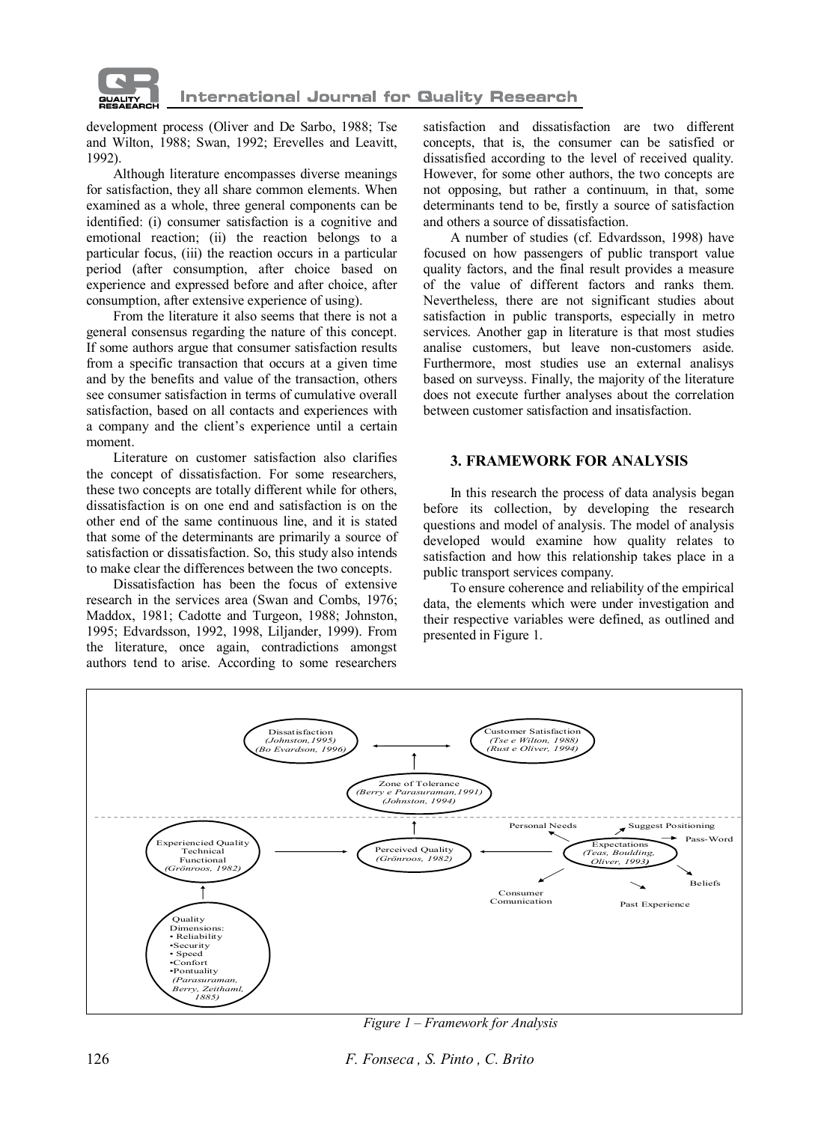

**International Journal for Quality Research** 

development process (Oliver and De Sarbo, 1988; Tse and Wilton, 1988; Swan, 1992; Erevelles and Leavitt, 1992).

Although literature encompasses diverse meanings for satisfaction, they all share common elements. When examined as a whole, three general components can be identified: (i) consumer satisfaction is a cognitive and emotional reaction; (ii) the reaction belongs to a particular focus, (iii) the reaction occurs in a particular period (after consumption, after choice based on experience and expressed before and after choice, after consumption, after extensive experience of using).

From the literature it also seems that there is not a general consensus regarding the nature of this concept. If some authors argue that consumer satisfaction results from a specific transaction that occurs at a given time and by the benefits and value of the transaction, others see consumer satisfaction in terms of cumulative overall satisfaction, based on all contacts and experiences with a company and the client's experience until a certain moment.

Literature on customer satisfaction also clarifies the concept of dissatisfaction. For some researchers, these two concepts are totally different while for others, dissatisfaction is on one end and satisfaction is on the other end of the same continuous line, and it is stated that some of the determinants are primarily a source of satisfaction or dissatisfaction. So, this study also intends to make clear the differences between the two concepts.

Dissatisfaction has been the focus of extensive research in the services area (Swan and Combs, 1976; Maddox, 1981; Cadotte and Turgeon, 1988; Johnston, 1995; Edvardsson, 1992, 1998, Liljander, 1999). From the literature, once again, contradictions amongst authors tend to arise. According to some researchers

satisfaction and dissatisfaction are two different concepts, that is, the consumer can be satisfied or dissatisfied according to the level of received quality. However, for some other authors, the two concepts are not opposing, but rather a continuum, in that, some determinants tend to be, firstly a source of satisfaction and others a source of dissatisfaction.

A number of studies (cf. Edvardsson, 1998) have focused on how passengers of public transport value quality factors, and the final result provides a measure of the value of different factors and ranks them. Nevertheless, there are not significant studies about satisfaction in public transports, especially in metro services. Another gap in literature is that most studies analise customers, but leave non-customers aside. Furthermore, most studies use an external analisys based on surveyss. Finally, the majority of the literature does not execute further analyses about the correlation between customer satisfaction and insatisfaction.

### **3. FRAMEWORK FOR ANALYSIS**

In this research the process of data analysis began before its collection, by developing the research questions and model of analysis. The model of analysis developed would examine how quality relates to satisfaction and how this relationship takes place in a public transport services company.

To ensure coherence and reliability of the empirical data, the elements which were under investigation and their respective variables were defined, as outlined and presented in Figure 1.



*Figure 1 – Framework for Analysis*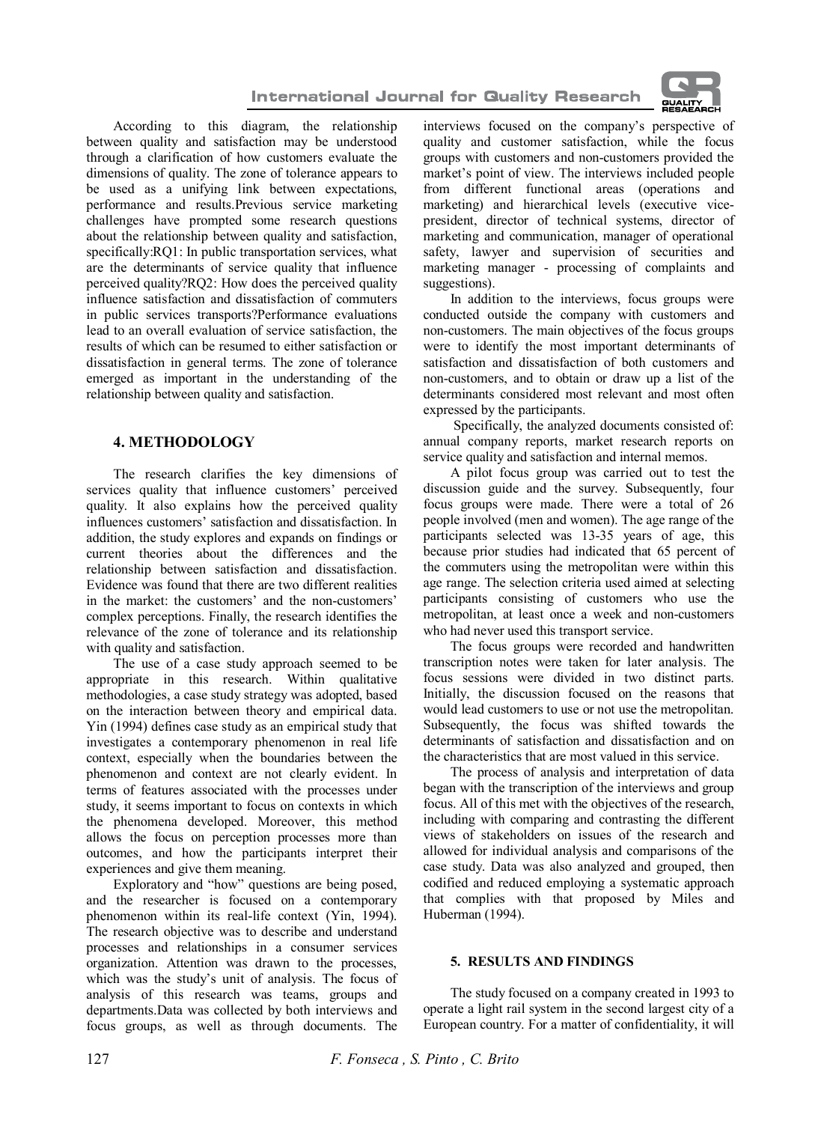



According to this diagram, the relationship between quality and satisfaction may be understood through a clarification of how customers evaluate the dimensions of quality. The zone of tolerance appears to be used as a unifying link between expectations, performance and results.Previous service marketing challenges have prompted some research questions about the relationship between quality and satisfaction, specifically:RQ1: In public transportation services, what are the determinants of service quality that influence perceived quality?RQ2: How does the perceived quality influence satisfaction and dissatisfaction of commuters in public services transports?Performance evaluations lead to an overall evaluation of service satisfaction, the results of which can be resumed to either satisfaction or dissatisfaction in general terms. The zone of tolerance emerged as important in the understanding of the relationship between quality and satisfaction.

# **4. METHODOLOGY**

The research clarifies the key dimensions of services quality that influence customers' perceived quality. It also explains how the perceived quality influences customers' satisfaction and dissatisfaction. In addition, the study explores and expands on findings or current theories about the differences and the relationship between satisfaction and dissatisfaction. Evidence was found that there are two different realities in the market: the customers' and the non-customers' complex perceptions. Finally, the research identifies the relevance of the zone of tolerance and its relationship with quality and satisfaction.

The use of a case study approach seemed to be appropriate in this research. Within qualitative methodologies, a case study strategy was adopted, based on the interaction between theory and empirical data. Yin (1994) defines case study as an empirical study that investigates a contemporary phenomenon in real life context, especially when the boundaries between the phenomenon and context are not clearly evident. In terms of features associated with the processes under study, it seems important to focus on contexts in which the phenomena developed. Moreover, this method allows the focus on perception processes more than outcomes, and how the participants interpret their experiences and give them meaning.

Exploratory and "how" questions are being posed, and the researcher is focused on a contemporary phenomenon within its real-life context (Yin, 1994). The research objective was to describe and understand processes and relationships in a consumer services organization. Attention was drawn to the processes, which was the study's unit of analysis. The focus of analysis of this research was teams, groups and departments.Data was collected by both interviews and focus groups, as well as through documents. The

interviews focused on the company's perspective of quality and customer satisfaction, while the focus groups with customers and non-customers provided the market's point of view. The interviews included people from different functional areas (operations and marketing) and hierarchical levels (executive vicepresident, director of technical systems, director of marketing and communication, manager of operational safety, lawyer and supervision of securities and marketing manager - processing of complaints and suggestions).

In addition to the interviews, focus groups were conducted outside the company with customers and non-customers. The main objectives of the focus groups were to identify the most important determinants of satisfaction and dissatisfaction of both customers and non-customers, and to obtain or draw up a list of the determinants considered most relevant and most often expressed by the participants.

 Specifically, the analyzed documents consisted of: annual company reports, market research reports on service quality and satisfaction and internal memos.

A pilot focus group was carried out to test the discussion guide and the survey. Subsequently, four focus groups were made. There were a total of 26 people involved (men and women). The age range of the participants selected was 13-35 years of age, this because prior studies had indicated that 65 percent of the commuters using the metropolitan were within this age range. The selection criteria used aimed at selecting participants consisting of customers who use the metropolitan, at least once a week and non-customers who had never used this transport service.

The focus groups were recorded and handwritten transcription notes were taken for later analysis. The focus sessions were divided in two distinct parts. Initially, the discussion focused on the reasons that would lead customers to use or not use the metropolitan. Subsequently, the focus was shifted towards the determinants of satisfaction and dissatisfaction and on the characteristics that are most valued in this service.

The process of analysis and interpretation of data began with the transcription of the interviews and group focus. All of this met with the objectives of the research, including with comparing and contrasting the different views of stakeholders on issues of the research and allowed for individual analysis and comparisons of the case study. Data was also analyzed and grouped, then codified and reduced employing a systematic approach that complies with that proposed by Miles and Huberman (1994).

### **5. RESULTS AND FINDINGS**

The study focused on a company created in 1993 to operate a light rail system in the second largest city of a European country. For a matter of confidentiality, it will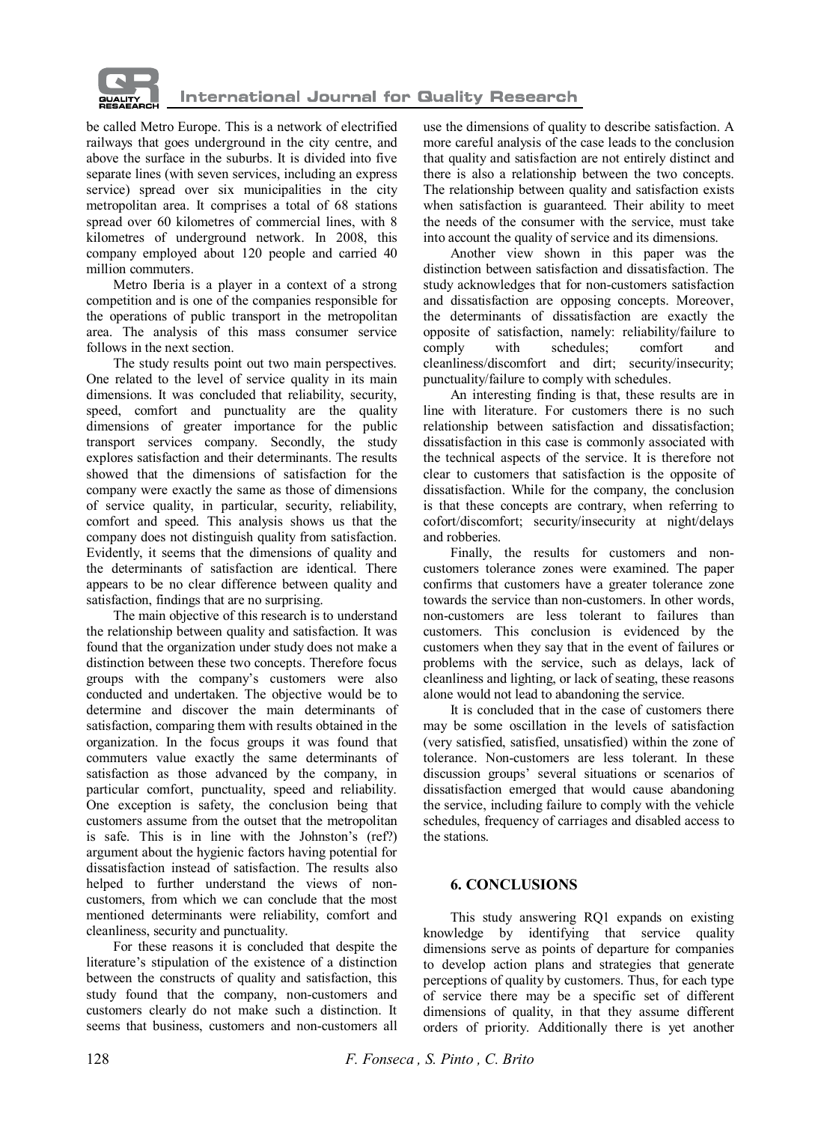

be called Metro Europe. This is a network of electrified railways that goes underground in the city centre, and above the surface in the suburbs. It is divided into five separate lines (with seven services, including an express service) spread over six municipalities in the city metropolitan area. It comprises a total of 68 stations spread over 60 kilometres of commercial lines, with 8 kilometres of underground network. In 2008, this company employed about 120 people and carried 40 million commuters.

Metro Iberia is a player in a context of a strong competition and is one of the companies responsible for the operations of public transport in the metropolitan area. The analysis of this mass consumer service follows in the next section.

The study results point out two main perspectives. One related to the level of service quality in its main dimensions. It was concluded that reliability, security, speed, comfort and punctuality are the quality dimensions of greater importance for the public transport services company. Secondly, the study explores satisfaction and their determinants. The results showed that the dimensions of satisfaction for the company were exactly the same as those of dimensions of service quality, in particular, security, reliability, comfort and speed. This analysis shows us that the company does not distinguish quality from satisfaction. Evidently, it seems that the dimensions of quality and the determinants of satisfaction are identical. There appears to be no clear difference between quality and satisfaction, findings that are no surprising.

The main objective of this research is to understand the relationship between quality and satisfaction. It was found that the organization under study does not make a distinction between these two concepts. Therefore focus groups with the company's customers were also conducted and undertaken. The objective would be to determine and discover the main determinants of satisfaction, comparing them with results obtained in the organization. In the focus groups it was found that commuters value exactly the same determinants of satisfaction as those advanced by the company, in particular comfort, punctuality, speed and reliability. One exception is safety, the conclusion being that customers assume from the outset that the metropolitan is safe. This is in line with the Johnston's (ref?) argument about the hygienic factors having potential for dissatisfaction instead of satisfaction. The results also helped to further understand the views of noncustomers, from which we can conclude that the most mentioned determinants were reliability, comfort and cleanliness, security and punctuality.

For these reasons it is concluded that despite the literature's stipulation of the existence of a distinction between the constructs of quality and satisfaction, this study found that the company, non-customers and customers clearly do not make such a distinction. It seems that business, customers and non-customers all

use the dimensions of quality to describe satisfaction. A more careful analysis of the case leads to the conclusion that quality and satisfaction are not entirely distinct and there is also a relationship between the two concepts. The relationship between quality and satisfaction exists when satisfaction is guaranteed. Their ability to meet the needs of the consumer with the service, must take into account the quality of service and its dimensions.

Another view shown in this paper was the distinction between satisfaction and dissatisfaction. The study acknowledges that for non-customers satisfaction and dissatisfaction are opposing concepts. Moreover, the determinants of dissatisfaction are exactly the opposite of satisfaction, namely: reliability/failure to comply with schedules; comfort and cleanliness/discomfort and dirt; security/insecurity; punctuality/failure to comply with schedules.

An interesting finding is that, these results are in line with literature. For customers there is no such relationship between satisfaction and dissatisfaction; dissatisfaction in this case is commonly associated with the technical aspects of the service. It is therefore not clear to customers that satisfaction is the opposite of dissatisfaction. While for the company, the conclusion is that these concepts are contrary, when referring to cofort/discomfort; security/insecurity at night/delays and robberies.

Finally, the results for customers and noncustomers tolerance zones were examined. The paper confirms that customers have a greater tolerance zone towards the service than non-customers. In other words, non-customers are less tolerant to failures than customers. This conclusion is evidenced by the customers when they say that in the event of failures or problems with the service, such as delays, lack of cleanliness and lighting, or lack of seating, these reasons alone would not lead to abandoning the service.

It is concluded that in the case of customers there may be some oscillation in the levels of satisfaction (very satisfied, satisfied, unsatisfied) within the zone of tolerance. Non-customers are less tolerant. In these discussion groups' several situations or scenarios of dissatisfaction emerged that would cause abandoning the service, including failure to comply with the vehicle schedules, frequency of carriages and disabled access to the stations.

# **6. CONCLUSIONS**

This study answering RQ1 expands on existing knowledge by identifying that service quality dimensions serve as points of departure for companies to develop action plans and strategies that generate perceptions of quality by customers. Thus, for each type of service there may be a specific set of different dimensions of quality, in that they assume different orders of priority. Additionally there is yet another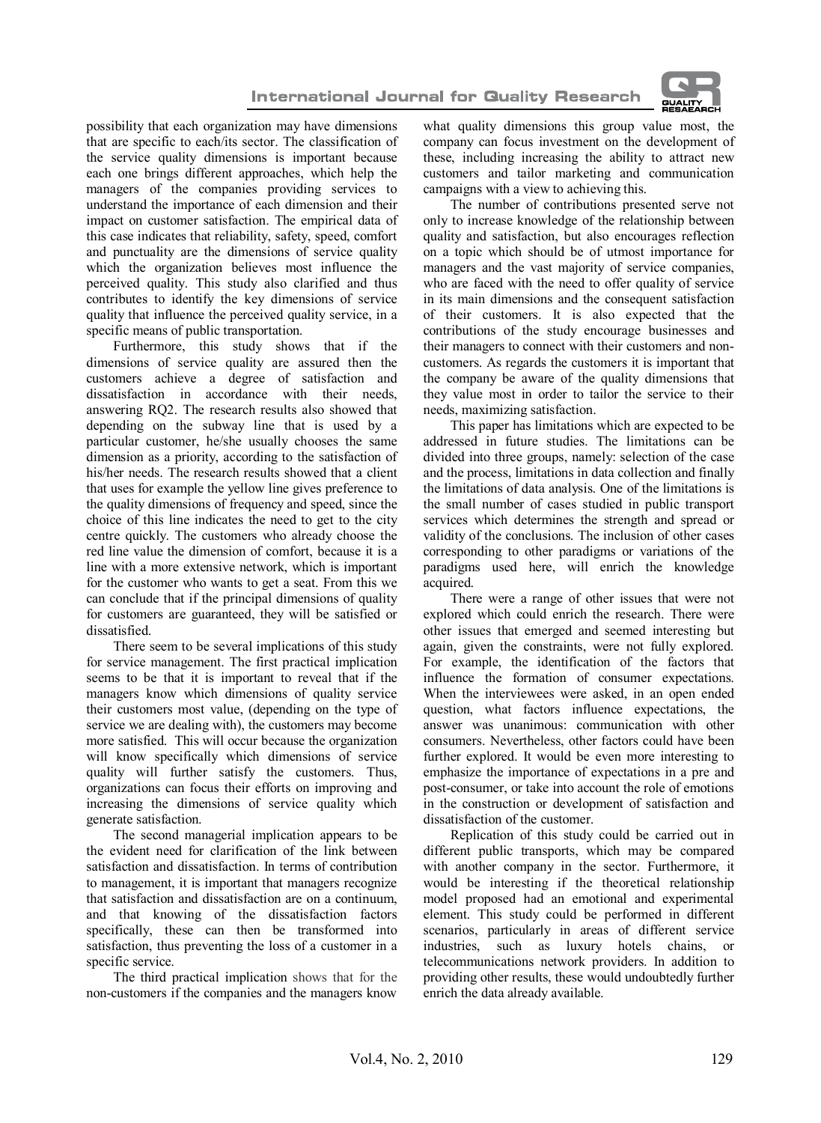

possibility that each organization may have dimensions that are specific to each/its sector. The classification of the service quality dimensions is important because each one brings different approaches, which help the managers of the companies providing services to understand the importance of each dimension and their impact on customer satisfaction. The empirical data of this case indicates that reliability, safety, speed, comfort and punctuality are the dimensions of service quality which the organization believes most influence the perceived quality. This study also clarified and thus contributes to identify the key dimensions of service quality that influence the perceived quality service, in a specific means of public transportation.

Furthermore, this study shows that if the dimensions of service quality are assured then the customers achieve a degree of satisfaction and dissatisfaction in accordance with their needs answering RQ2. The research results also showed that depending on the subway line that is used by a particular customer, he/she usually chooses the same dimension as a priority, according to the satisfaction of his/her needs. The research results showed that a client that uses for example the yellow line gives preference to the quality dimensions of frequency and speed, since the choice of this line indicates the need to get to the city centre quickly. The customers who already choose the red line value the dimension of comfort, because it is a line with a more extensive network, which is important for the customer who wants to get a seat. From this we can conclude that if the principal dimensions of quality for customers are guaranteed, they will be satisfied or dissatisfied.

There seem to be several implications of this study for service management. The first practical implication seems to be that it is important to reveal that if the managers know which dimensions of quality service their customers most value, (depending on the type of service we are dealing with), the customers may become more satisfied. This will occur because the organization will know specifically which dimensions of service quality will further satisfy the customers. Thus, organizations can focus their efforts on improving and increasing the dimensions of service quality which generate satisfaction.

The second managerial implication appears to be the evident need for clarification of the link between satisfaction and dissatisfaction. In terms of contribution to management, it is important that managers recognize that satisfaction and dissatisfaction are on a continuum, and that knowing of the dissatisfaction factors specifically, these can then be transformed into satisfaction, thus preventing the loss of a customer in a specific service.

The third practical implication shows that for the non-customers if the companies and the managers know

what quality dimensions this group value most, the company can focus investment on the development of these, including increasing the ability to attract new customers and tailor marketing and communication campaigns with a view to achieving this.

The number of contributions presented serve not only to increase knowledge of the relationship between quality and satisfaction, but also encourages reflection on a topic which should be of utmost importance for managers and the vast majority of service companies, who are faced with the need to offer quality of service in its main dimensions and the consequent satisfaction of their customers. It is also expected that the contributions of the study encourage businesses and their managers to connect with their customers and noncustomers. As regards the customers it is important that the company be aware of the quality dimensions that they value most in order to tailor the service to their needs, maximizing satisfaction.

This paper has limitations which are expected to be addressed in future studies. The limitations can be divided into three groups, namely: selection of the case and the process, limitations in data collection and finally the limitations of data analysis. One of the limitations is the small number of cases studied in public transport services which determines the strength and spread or validity of the conclusions. The inclusion of other cases corresponding to other paradigms or variations of the paradigms used here, will enrich the knowledge acquired.

There were a range of other issues that were not explored which could enrich the research. There were other issues that emerged and seemed interesting but again, given the constraints, were not fully explored. For example, the identification of the factors that influence the formation of consumer expectations. When the interviewees were asked, in an open ended question, what factors influence expectations, the answer was unanimous: communication with other consumers. Nevertheless, other factors could have been further explored. It would be even more interesting to emphasize the importance of expectations in a pre and post-consumer, or take into account the role of emotions in the construction or development of satisfaction and dissatisfaction of the customer.

Replication of this study could be carried out in different public transports, which may be compared with another company in the sector. Furthermore, it would be interesting if the theoretical relationship model proposed had an emotional and experimental element. This study could be performed in different scenarios, particularly in areas of different service industries, such as luxury hotels chains, or telecommunications network providers. In addition to providing other results, these would undoubtedly further enrich the data already available.